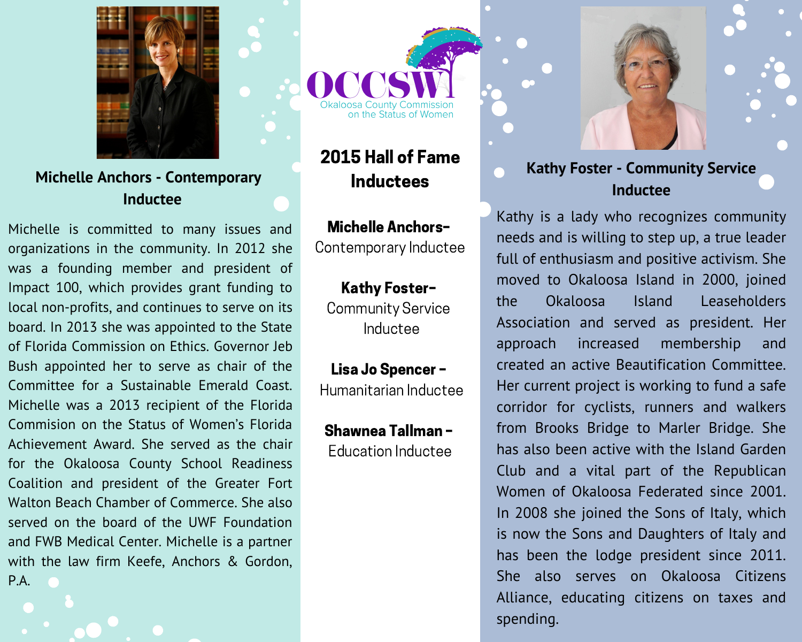

## **Michelle Anchors - Contemporary** Inductee

Michelle is committed to many issues and organizations in the community. In 2012 she was a founding member and president of Impact 100, which provides grant funding to local non-profits, and continues to serve on its board. In 2013 she was appointed to the State of Florida Commission on Ethics. Governor Jeb Bush appointed her to serve as chair of the Committee for a Sustainable Emerald Coast. Michelle was a 2013 recipient of the Florida Commision on the Status of Women's Florida Achievement Award. She served as the chair for the Okaloosa County School Readiness Coalition and president of the Greater Fort Walton Beach Chamber of Commerce. She also served on the board of the UWF Foundation and FWB Medical Center. Michelle is a partner with the law firm Keefe, Anchors & Gordon, P.A.

our Searing Semimicators<br>on the Status of Women

# 2015 Hall of Fame **Inductees**

### **Michelle Anchors-**Contemporary Inductee

## Kathy Foster-

**Community Service** Inductee

## Lisa Jo Spencer -Humanitarian Inductee

#### Shawnea Tallman-**Education Inductee**

## **Kathy Foster - Community Service** Inductee

Kathy is a lady who recognizes community needs and is willing to step up, a true leader full of enthusiasm and positive activism. She moved to Okaloosa Island in 2000, joined Okaloosa **Island** Leaseholders the Association and served as president. Her increased membership approach and created an active Beautification Committee. Her current project is working to fund a safe corridor for cyclists, runners and walkers from Brooks Bridge to Marler Bridge. She has also been active with the Island Garden Club and a vital part of the Republican Women of Okaloosa Federated since 2001. In 2008 she joined the Sons of Italy, which is now the Sons and Daughters of Italy and has been the lodge president since 2011. She also serves on Okaloosa Citizens Alliance, educating citizens on taxes and spending.